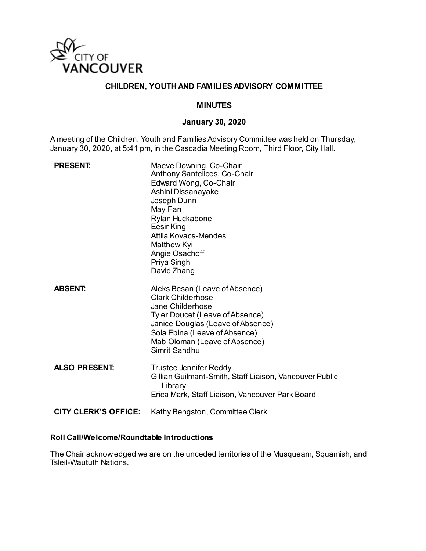

### **CHILDREN, YOUTH AND FAMILIES ADVISORY COMMITTEE**

#### **MINUTES**

#### **January 30, 2020**

A meeting of the Children, Youth and Families Advisory Committee was held on Thursday, January 30, 2020, at 5:41 pm, in the Cascadia Meeting Room, Third Floor, City Hall.

| <b>PRESENT:</b>      | Maeve Downing, Co-Chair<br>Anthony Santelices, Co-Chair<br>Edward Wong, Co-Chair<br>Ashini Dissanayake<br>Joseph Dunn<br>May Fan<br>Rylan Huckabone<br>Eesir King<br>Attila Kovacs-Mendes<br>Matthew Kyi<br>Angie Osachoff<br>Priya Singh<br>David Zhang |
|----------------------|----------------------------------------------------------------------------------------------------------------------------------------------------------------------------------------------------------------------------------------------------------|
| <b>ABSENT:</b>       | Aleks Besan (Leave of Absence)<br><b>Clark Childerhose</b><br>Jane Childerhose<br>Tyler Doucet (Leave of Absence)<br>Janice Douglas (Leave of Absence)<br>Sola Ebina (Leave of Absence)<br>Mab Oloman (Leave of Absence)<br>Simrit Sandhu                |
| <b>ALSO PRESENT:</b> | <b>Trustee Jennifer Reddy</b><br>Gillian Guilmant-Smith, Staff Liaison, Vancouver Public<br>Library<br>Erica Mark, Staff Liaison, Vancouver Park Board                                                                                                   |
| CITY CLERK'S OFFICE: | Kathy Bengston, Committee Clerk                                                                                                                                                                                                                          |

### **Roll Call/Welcome/Roundtable Introductions**

The Chair acknowledged we are on the unceded territories of the Musqueam, Squamish, and Tsleil-Waututh Nations.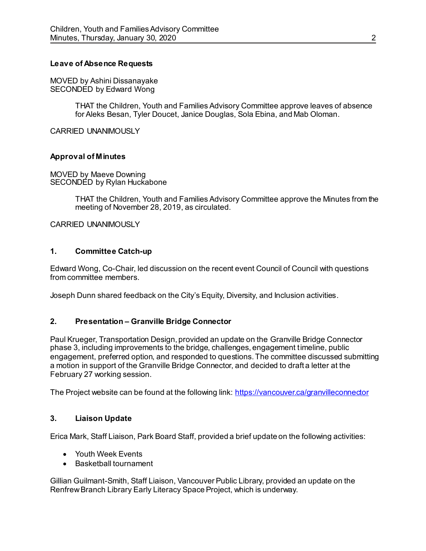### **Leave of Absence Requests**

MOVED by Ashini Dissanayake SECONDED by Edward Wong

> THAT the Children, Youth and Families Advisory Committee approve leaves of absence for Aleks Besan, Tyler Doucet, Janice Douglas, Sola Ebina, and Mab Oloman.

CARRIED UNANIMOUSLY

### **Approval of Minutes**

MOVED by Maeve Downing SECONDED by Rylan Huckabone

> THAT the Children, Youth and Families Advisory Committee approve the Minutes from the meeting of November 28, 2019, as circulated.

CARRIED UNANIMOUSLY

#### **1. Committee Catch-up**

Edward Wong, Co-Chair, led discussion on the recent event Council of Council with questions from committee members.

Joseph Dunn shared feedback on the City's Equity, Diversity, and Inclusion activities.

### **2. Presentation – Granville Bridge Connector**

Paul Krueger, Transportation Design, provided an update on the Granville Bridge Connector phase 3, including improvements to the bridge, challenges, engagement timeline, public engagement, preferred option, and responded to questions. The committee discussed submitting a motion in support of the Granville Bridge Connector, and decided to draft a letter at the February 27 working session.

The Project website can be found at the following link:<https://vancouver.ca/granvilleconnector>

### **3. Liaison Update**

Erica Mark, Staff Liaison, Park Board Staff, provided a brief update on the following activities:

- Youth Week Events
- Basketball tournament

Gillian Guilmant-Smith, Staff Liaison, Vancouver Public Library, provided an update on the Renfrew Branch Library Early Literacy Space Project, which is underway.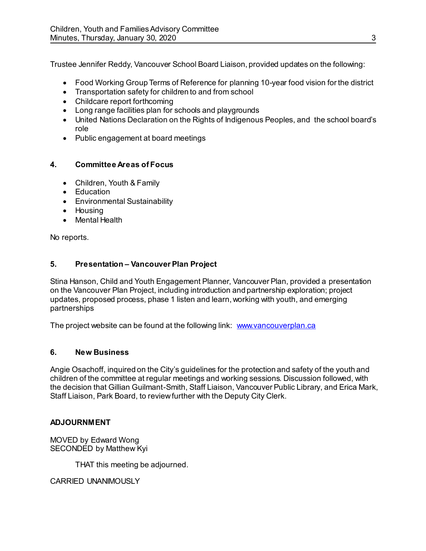Trustee Jennifer Reddy, Vancouver School Board Liaison, provided updates on the following:

- Food Working Group Terms of Reference for planning 10-year food vision for the district
- Transportation safety for children to and from school
- Childcare report forthcoming
- Long range facilities plan for schools and playgrounds
- United Nations Declaration on the Rights of Indigenous Peoples, and the school board's role
- Public engagement at board meetings

## **4. Committee Areas of Focus**

- Children, Youth & Family
- Education
- Environmental Sustainability
- Housing
- Mental Health

No reports.

## **5. Presentation – Vancouver Plan Project**

Stina Hanson, Child and Youth Engagement Planner, Vancouver Plan, provided a presentation on the Vancouver Plan Project, including introduction and partnership exploration; project updates, proposed process, phase 1 listen and learn, working with youth, and emerging partnerships

The project website can be found at the following link: [www.vancouverplan.ca](http://www.vancouverplan.ca/)

## **6. New Business**

Angie Osachoff, inquired on the City's guidelines for the protection and safety of the youth and children of the committee at regular meetings and working sessions. Discussion followed, with the decision that Gillian Guilmant-Smith, Staff Liaison, Vancouver Public Library, and Erica Mark, Staff Liaison, Park Board, to review further with the Deputy City Clerk.

## **ADJOURNMENT**

MOVED by Edward Wong SECONDED by Matthew Kyi

THAT this meeting be adjourned.

CARRIED UNANIMOUSLY